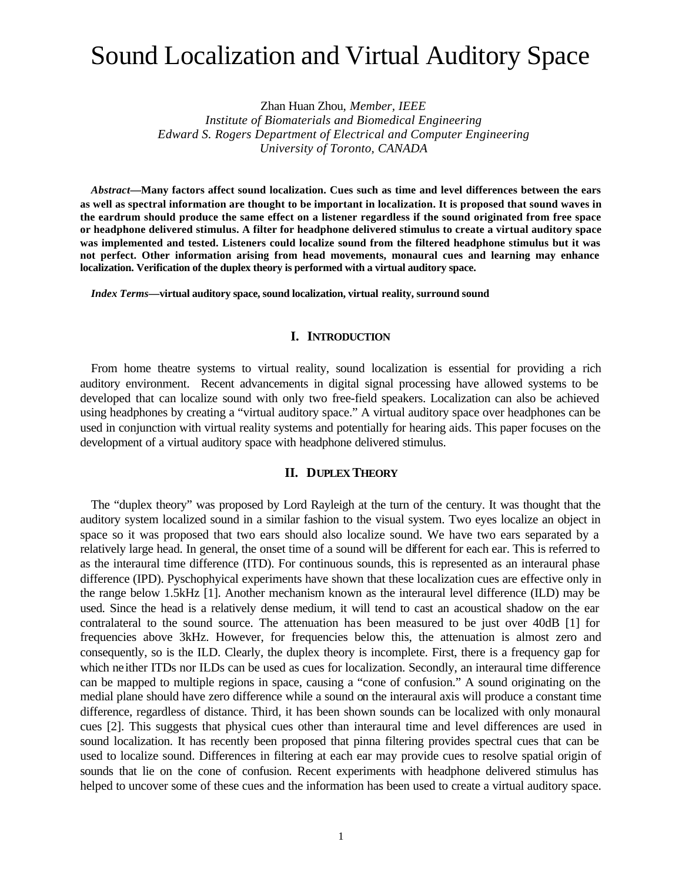# Sound Localization and Virtual Auditory Space

Zhan Huan Zhou, *Member, IEEE*

*Institute of Biomaterials and Biomedical Engineering Edward S. Rogers Department of Electrical and Computer Engineering University of Toronto, CANADA*

*Abstract***—Many factors affect sound localization. Cues such as time and level differences between the ears as well as spectral information are thought to be important in localization. It is proposed that sound waves in the eardrum should produce the same effect on a listener regardless if the sound originated from free space or headphone delivered stimulus. A filter for headphone delivered stimulus to create a virtual auditory space was implemented and tested. Listeners could localize sound from the filtered headphone stimulus but it was not perfect. Other information arising from head movements, monaural cues and learning may enhance localization. Verification of the duplex theory is performed with a virtual auditory space.**

*Index Terms***—virtual auditory space, sound localization, virtual reality, surround sound**

#### **I. INTRODUCTION**

From home theatre systems to virtual reality, sound localization is essential for providing a rich auditory environment. Recent advancements in digital signal processing have allowed systems to be developed that can localize sound with only two free-field speakers. Localization can also be achieved using headphones by creating a "virtual auditory space." A virtual auditory space over headphones can be used in conjunction with virtual reality systems and potentially for hearing aids. This paper focuses on the development of a virtual auditory space with headphone delivered stimulus.

#### **II. DUPLEX THEORY**

The "duplex theory" was proposed by Lord Rayleigh at the turn of the century. It was thought that the auditory system localized sound in a similar fashion to the visual system. Two eyes localize an object in space so it was proposed that two ears should also localize sound. We have two ears separated by a relatively large head. In general, the onset time of a sound will be different for each ear. This is referred to as the interaural time difference (ITD). For continuous sounds, this is represented as an interaural phase difference (IPD). Pyschophyical experiments have shown that these localization cues are effective only in the range below 1.5kHz [1]. Another mechanism known as the interaural level difference (ILD) may be used. Since the head is a relatively dense medium, it will tend to cast an acoustical shadow on the ear contralateral to the sound source. The attenuation has been measured to be just over 40dB [1] for frequencies above 3kHz. However, for frequencies below this, the attenuation is almost zero and consequently, so is the ILD. Clearly, the duplex theory is incomplete. First, there is a frequency gap for which neither ITDs nor ILDs can be used as cues for localization. Secondly, an interaural time difference can be mapped to multiple regions in space, causing a "cone of confusion." A sound originating on the medial plane should have zero difference while a sound on the interaural axis will produce a constant time difference, regardless of distance. Third, it has been shown sounds can be localized with only monaural cues [2]. This suggests that physical cues other than interaural time and level differences are used in sound localization. It has recently been proposed that pinna filtering provides spectral cues that can be used to localize sound. Differences in filtering at each ear may provide cues to resolve spatial origin of sounds that lie on the cone of confusion. Recent experiments with headphone delivered stimulus has helped to uncover some of these cues and the information has been used to create a virtual auditory space.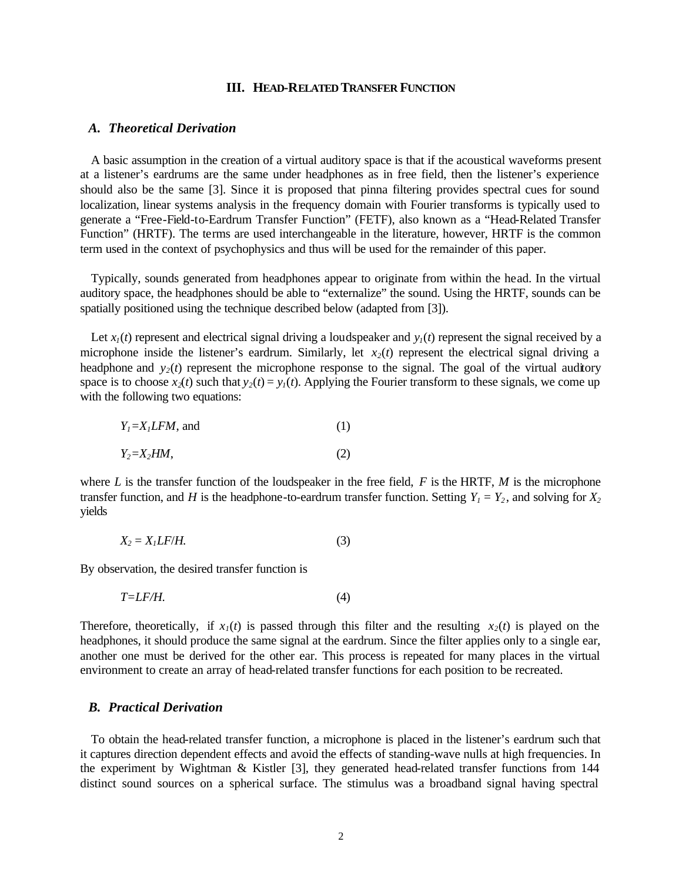#### **III. HEAD-RELATED TRANSFER FUNCTION**

# *A. Theoretical Derivation*

A basic assumption in the creation of a virtual auditory space is that if the acoustical waveforms present at a listener's eardrums are the same under headphones as in free field, then the listener's experience should also be the same [3]. Since it is proposed that pinna filtering provides spectral cues for sound localization, linear systems analysis in the frequency domain with Fourier transforms is typically used to generate a "Free-Field-to-Eardrum Transfer Function" (FETF), also known as a "Head-Related Transfer Function" (HRTF). The terms are used interchangeable in the literature, however, HRTF is the common term used in the context of psychophysics and thus will be used for the remainder of this paper.

Typically, sounds generated from headphones appear to originate from within the head. In the virtual auditory space, the headphones should be able to "externalize" the sound. Using the HRTF, sounds can be spatially positioned using the technique described below (adapted from [3]).

Let  $x_i(t)$  represent and electrical signal driving a loudspeaker and  $y_i(t)$  represent the signal received by a microphone inside the listener's eardrum. Similarly, let  $x<sub>2</sub>(t)$  represent the electrical signal driving a headphone and  $y_2(t)$  represent the microphone response to the signal. The goal of the virtual auditory space is to choose  $x_2(t)$  such that  $y_2(t) = y_1(t)$ . Applying the Fourier transform to these signals, we come up with the following two equations:

$$
Y_1 = X_1 LFM, \text{ and } \tag{1}
$$
\n
$$
Y_2 = X_2 HM, \tag{2}
$$

where *L* is the transfer function of the loudspeaker in the free field, *F* is the HRTF, *M* is the microphone transfer function, and *H* is the headphone-to-eardrum transfer function. Setting  $Y_1 = Y_2$ , and solving for  $X_2$ yields

$$
X_2 = X_1 L F/H. \tag{3}
$$

By observation, the desired transfer function is

$$
T = LF/H.
$$
\n<sup>(4)</sup>

Therefore, theoretically, if  $x<sub>1</sub>(t)$  is passed through this filter and the resulting  $x<sub>2</sub>(t)$  is played on the headphones, it should produce the same signal at the eardrum. Since the filter applies only to a single ear, another one must be derived for the other ear. This process is repeated for many places in the virtual environment to create an array of head-related transfer functions for each position to be recreated.

# *B. Practical Derivation*

To obtain the head-related transfer function, a microphone is placed in the listener's eardrum such that it captures direction dependent effects and avoid the effects of standing-wave nulls at high frequencies. In the experiment by Wightman & Kistler [3], they generated head-related transfer functions from 144 distinct sound sources on a spherical surface. The stimulus was a broadband signal having spectral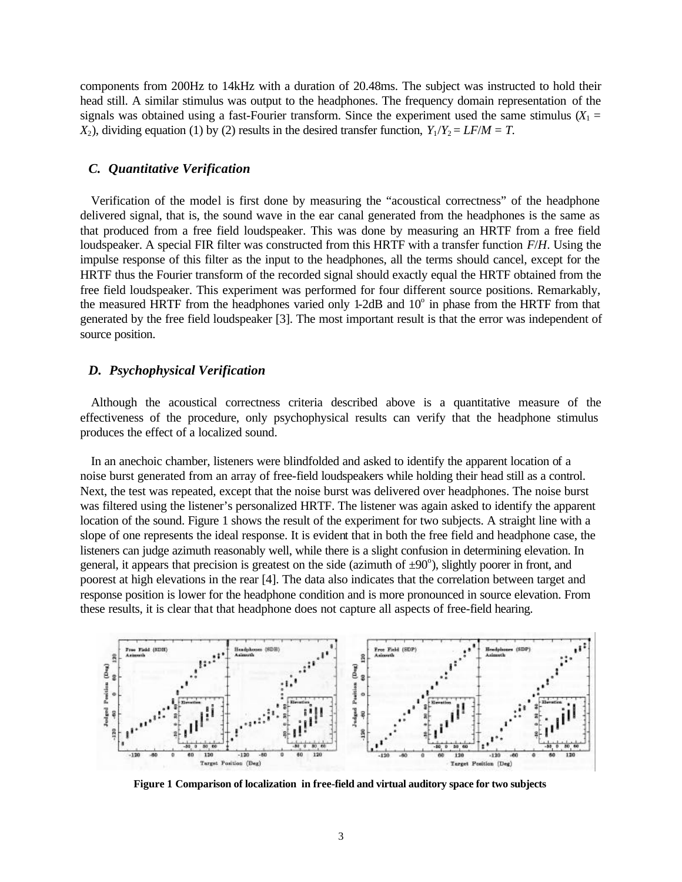components from 200Hz to 14kHz with a duration of 20.48ms. The subject was instructed to hold their head still. A similar stimulus was output to the headphones. The frequency domain representation of the signals was obtained using a fast-Fourier transform. Since the experiment used the same stimulus  $(X_1 =$ *X*<sub>2</sub>), dividing equation (1) by (2) results in the desired transfer function,  $Y_1/Y_2 = LF/M = T$ .

#### *C. Quantitative Verification*

Verification of the model is first done by measuring the "acoustical correctness" of the headphone delivered signal, that is, the sound wave in the ear canal generated from the headphones is the same as that produced from a free field loudspeaker. This was done by measuring an HRTF from a free field loudspeaker. A special FIR filter was constructed from this HRTF with a transfer function *F*/*H*. Using the impulse response of this filter as the input to the headphones, all the terms should cancel, except for the HRTF thus the Fourier transform of the recorded signal should exactly equal the HRTF obtained from the free field loudspeaker. This experiment was performed for four different source positions. Remarkably, the measured HRTF from the headphones varied only 1-2dB and 10° in phase from the HRTF from that generated by the free field loudspeaker [3]. The most important result is that the error was independent of source position.

## *D. Psychophysical Verification*

Although the acoustical correctness criteria described above is a quantitative measure of the effectiveness of the procedure, only psychophysical results can verify that the headphone stimulus produces the effect of a localized sound.

In an anechoic chamber, listeners were blindfolded and asked to identify the apparent location of a noise burst generated from an array of free-field loudspeakers while holding their head still as a control. Next, the test was repeated, except that the noise burst was delivered over headphones. The noise burst was filtered using the listener's personalized HRTF. The listener was again asked to identify the apparent location of the sound. Figure 1 shows the result of the experiment for two subjects. A straight line with a slope of one represents the ideal response. It is evident that in both the free field and headphone case, the listeners can judge azimuth reasonably well, while there is a slight confusion in determining elevation. In general, it appears that precision is greatest on the side (azimuth of  $\pm 90^\circ$ ), slightly poorer in front, and poorest at high elevations in the rear [4]. The data also indicates that the correlation between target and response position is lower for the headphone condition and is more pronounced in source elevation. From these results, it is clear that that headphone does not capture all aspects of free-field hearing.



**Figure 1 Comparison of localization in free-field and virtual auditory space for two subjects**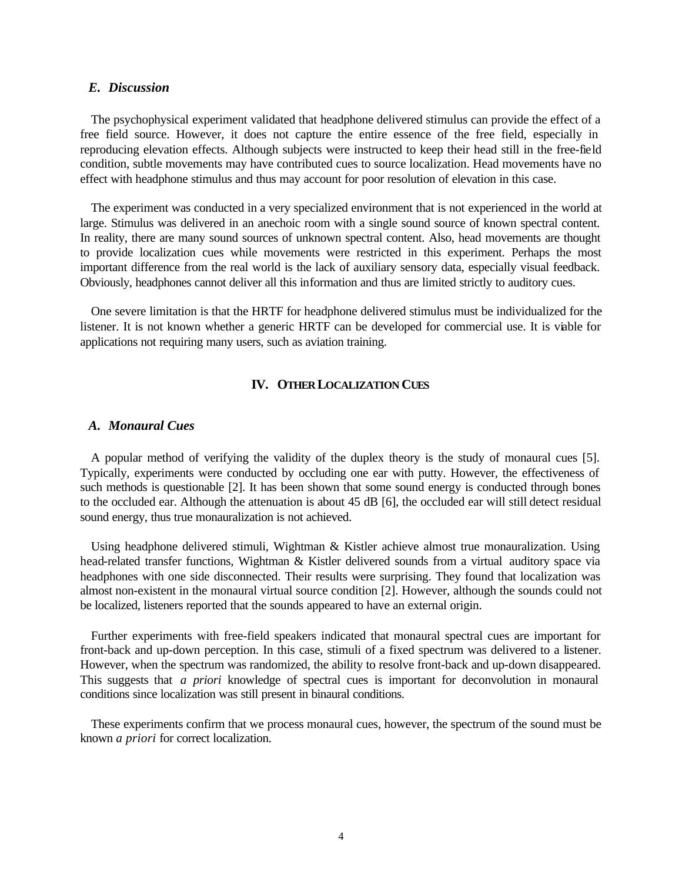### *E. Discussion*

The psychophysical experiment validated that headphone delivered stimulus can provide the effect of a free field source. However, it does not capture the entire essence of the free field, especially in reproducing elevation effects. Although subjects were instructed to keep their head still in the free-field condition, subtle movements may have contributed cues to source localization. Head movements have no effect with headphone stimulus and thus may account for poor resolution of elevation in this case.

The experiment was conducted in a very specialized environment that is not experienced in the world at large. Stimulus was delivered in an anechoic room with a single sound source of known spectral content. In reality, there are many sound sources of unknown spectral content. Also, head movements are thought to provide localization cues while movements were restricted in this experiment. Perhaps the most important difference from the real world is the lack of auxiliary sensory data, especially visual feedback. Obviously, headphones cannot deliver all this information and thus are limited strictly to auditory cues.

One severe limitation is that the HRTF for headphone delivered stimulus must be individualized for the listener. It is not known whether a generic HRTF can be developed for commercial use. It is viable for applications not requiring many users, such as aviation training.

# **IV. OTHER LOCALIZATION CUES**

#### *A. Monaural Cues*

A popular method of verifying the validity of the duplex theory is the study of monaural cues [5]. Typically, experiments were conducted by occluding one ear with putty. However, the effectiveness of such methods is questionable [2]. It has been shown that some sound energy is conducted through bones to the occluded ear. Although the attenuation is about 45 dB [6], the occluded ear will still detect residual sound energy, thus true monauralization is not achieved.

Using headphone delivered stimuli, Wightman & Kistler achieve almost true monauralization. Using head-related transfer functions, Wightman & Kistler delivered sounds from a virtual auditory space via headphones with one side disconnected. Their results were surprising. They found that localization was almost non-existent in the monaural virtual source condition [2]. However, although the sounds could not be localized, listeners reported that the sounds appeared to have an external origin.

Further experiments with free-field speakers indicated that monaural spectral cues are important for front-back and up-down perception. In this case, stimuli of a fixed spectrum was delivered to a listener. However, when the spectrum was randomized, the ability to resolve front-back and up-down disappeared. This suggests that *a priori* knowledge of spectral cues is important for deconvolution in monaural conditions since localization was still present in binaural conditions.

These experiments confirm that we process monaural cues, however, the spectrum of the sound must be known *a priori* for correct localization.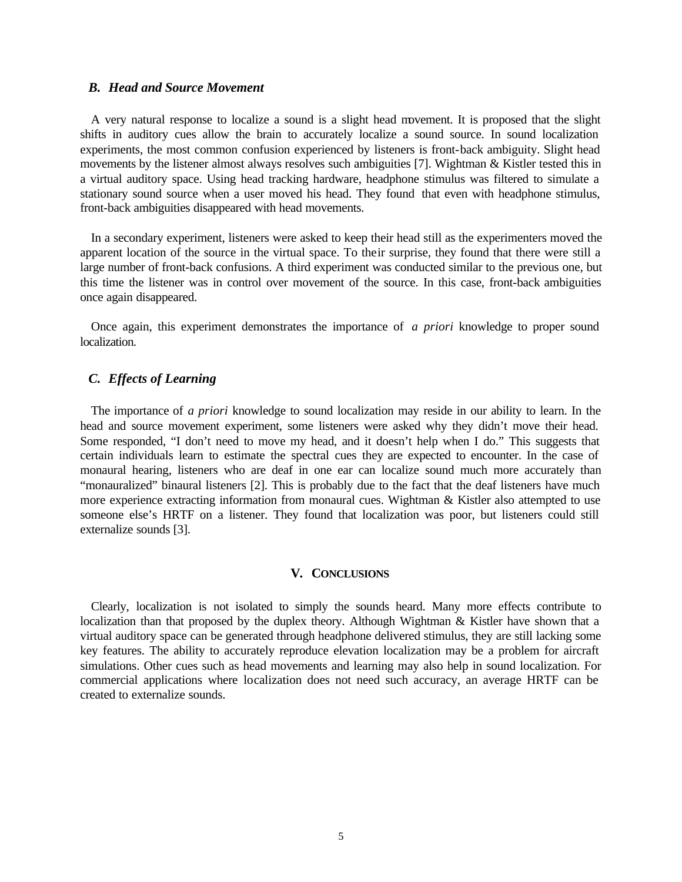#### *B. Head and Source Movement*

A very natural response to localize a sound is a slight head movement. It is proposed that the slight shifts in auditory cues allow the brain to accurately localize a sound source. In sound localization experiments, the most common confusion experienced by listeners is front-back ambiguity. Slight head movements by the listener almost always resolves such ambiguities [7]. Wightman & Kistler tested this in a virtual auditory space. Using head tracking hardware, headphone stimulus was filtered to simulate a stationary sound source when a user moved his head. They found that even with headphone stimulus, front-back ambiguities disappeared with head movements.

In a secondary experiment, listeners were asked to keep their head still as the experimenters moved the apparent location of the source in the virtual space. To their surprise, they found that there were still a large number of front-back confusions. A third experiment was conducted similar to the previous one, but this time the listener was in control over movement of the source. In this case, front-back ambiguities once again disappeared.

Once again, this experiment demonstrates the importance of *a priori* knowledge to proper sound localization.

# *C. Effects of Learning*

The importance of *a priori* knowledge to sound localization may reside in our ability to learn. In the head and source movement experiment, some listeners were asked why they didn't move their head. Some responded, "I don't need to move my head, and it doesn't help when I do." This suggests that certain individuals learn to estimate the spectral cues they are expected to encounter. In the case of monaural hearing, listeners who are deaf in one ear can localize sound much more accurately than "monauralized" binaural listeners [2]. This is probably due to the fact that the deaf listeners have much more experience extracting information from monaural cues. Wightman & Kistler also attempted to use someone else's HRTF on a listener. They found that localization was poor, but listeners could still externalize sounds [3].

#### **V. CONCLUSIONS**

Clearly, localization is not isolated to simply the sounds heard. Many more effects contribute to localization than that proposed by the duplex theory. Although Wightman & Kistler have shown that a virtual auditory space can be generated through headphone delivered stimulus, they are still lacking some key features. The ability to accurately reproduce elevation localization may be a problem for aircraft simulations. Other cues such as head movements and learning may also help in sound localization. For commercial applications where localization does not need such accuracy, an average HRTF can be created to externalize sounds.